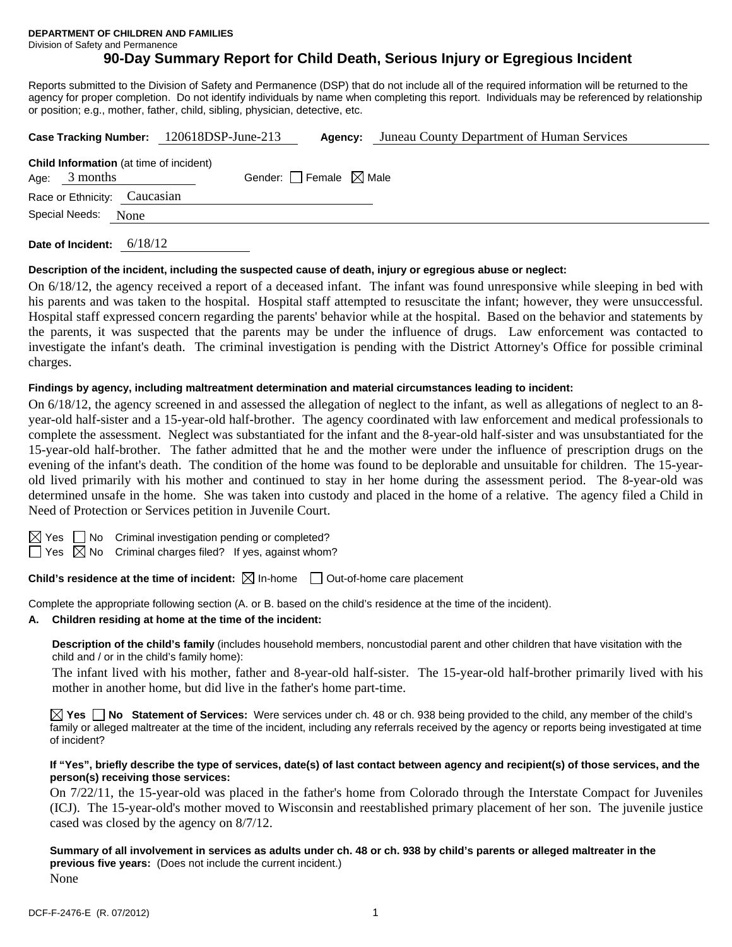**DEPARTMENT OF CHILDREN AND FAMILIES** 

Division of Safety and Permanence

# **90-Day Summary Report for Child Death, Serious Injury or Egregious Incident**

Reports submitted to the Division of Safety and Permanence (DSP) that do not include all of the required information will be returned to the agency for proper completion. Do not identify individuals by name when completing this report. Individuals may be referenced by relationship or position; e.g., mother, father, child, sibling, physician, detective, etc.

| Case Tracking Number: 120618DSP-June-213                          | Agency:                         | Juneau County Department of Human Services |
|-------------------------------------------------------------------|---------------------------------|--------------------------------------------|
| <b>Child Information</b> (at time of incident)<br>Age: $3$ months | Gender: Female $\boxtimes$ Male |                                            |
| Race or Ethnicity: Caucasian                                      |                                 |                                            |
| Special Needs: None                                               |                                 |                                            |
| Date of Incident: $6/18/12$                                       |                                 |                                            |

### **Description of the incident, including the suspected cause of death, injury or egregious abuse or neglect:**

On 6/18/12, the agency received a report of a deceased infant. The infant was found unresponsive while sleeping in bed with his parents and was taken to the hospital. Hospital staff attempted to resuscitate the infant; however, they were unsuccessful. Hospital staff expressed concern regarding the parents' behavior while at the hospital. Based on the behavior and statements by the parents, it was suspected that the parents may be under the influence of drugs. Law enforcement was contacted to investigate the infant's death. The criminal investigation is pending with the District Attorney's Office for possible criminal charges.

### **Findings by agency, including maltreatment determination and material circumstances leading to incident:**

On 6/18/12, the agency screened in and assessed the allegation of neglect to the infant, as well as allegations of neglect to an 8 year-old half-sister and a 15-year-old half-brother. The agency coordinated with law enforcement and medical professionals to complete the assessment. Neglect was substantiated for the infant and the 8-year-old half-sister and was unsubstantiated for the 15-year-old half-brother. The father admitted that he and the mother were under the influence of prescription drugs on the evening of the infant's death. The condition of the home was found to be deplorable and unsuitable for children. The 15-yearold lived primarily with his mother and continued to stay in her home during the assessment period. The 8-year-old was determined unsafe in the home. She was taken into custody and placed in the home of a relative. The agency filed a Child in Need of Protection or Services petition in Juvenile Court.

|--|--|

 $\Box$  No Criminal investigation pending or completed?

 $\Box$  Yes  $\boxtimes$  No Criminal charges filed? If yes, against whom?

**Child's residence at the time of incident:**  $\boxtimes$  In-home  $\Box$  Out-of-home care placement

Complete the appropriate following section (A. or B. based on the child's residence at the time of the incident).

# **A. Children residing at home at the time of the incident:**

**Description of the child's family** (includes household members, noncustodial parent and other children that have visitation with the child and / or in the child's family home):

 The infant lived with his mother, father and 8-year-old half-sister. The 15-year-old half-brother primarily lived with his mother in another home, but did live in the father's home part-time.

**Yes No Statement of Services:** Were services under ch. 48 or ch. 938 being provided to the child, any member of the child's family or alleged maltreater at the time of the incident, including any referrals received by the agency or reports being investigated at time of incident?

#### **If "Yes", briefly describe the type of services, date(s) of last contact between agency and recipient(s) of those services, and the person(s) receiving those services:**

On 7/22/11, the 15-year-old was placed in the father's home from Colorado through the Interstate Compact for Juveniles (ICJ). The 15-year-old's mother moved to Wisconsin and reestablished primary placement of her son. The juvenile justice cased was closed by the agency on 8/7/12.

**Summary of all involvement in services as adults under ch. 48 or ch. 938 by child's parents or alleged maltreater in the previous five years:** (Does not include the current incident.) None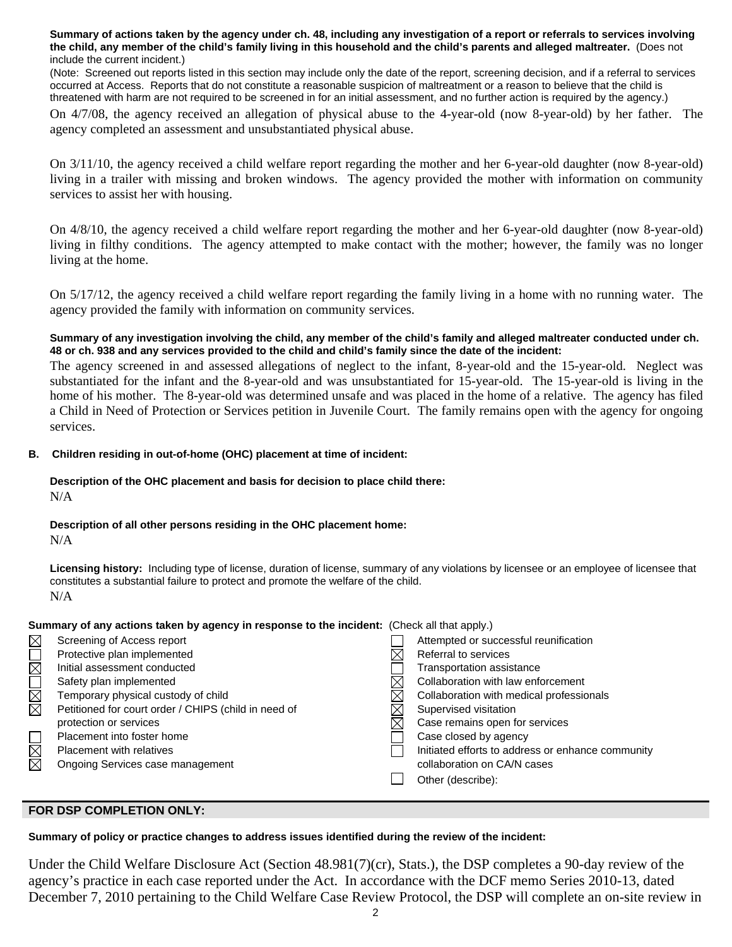**Summary of actions taken by the agency under ch. 48, including any investigation of a report or referrals to services involving the child, any member of the child's family living in this household and the child's parents and alleged maltreater.** (Does not include the current incident.)

(Note: Screened out reports listed in this section may include only the date of the report, screening decision, and if a referral to services occurred at Access. Reports that do not constitute a reasonable suspicion of maltreatment or a reason to believe that the child is threatened with harm are not required to be screened in for an initial assessment, and no further action is required by the agency.)

On 4/7/08, the agency received an allegation of physical abuse to the 4-year-old (now 8-year-old) by her father. The agency completed an assessment and unsubstantiated physical abuse.

On 3/11/10, the agency received a child welfare report regarding the mother and her 6-year-old daughter (now 8-year-old) living in a trailer with missing and broken windows. The agency provided the mother with information on community services to assist her with housing.

On 4/8/10, the agency received a child welfare report regarding the mother and her 6-year-old daughter (now 8-year-old) living in filthy conditions. The agency attempted to make contact with the mother; however, the family was no longer living at the home.

On 5/17/12, the agency received a child welfare report regarding the family living in a home with no running water. The agency provided the family with information on community services.

# **Summary of any investigation involving the child, any member of the child's family and alleged maltreater conducted under ch. 48 or ch. 938 and any services provided to the child and child's family since the date of the incident:**

The agency screened in and assessed allegations of neglect to the infant, 8-year-old and the 15-year-old. Neglect was substantiated for the infant and the 8-year-old and was unsubstantiated for 15-year-old. The 15-year-old is living in the home of his mother. The 8-year-old was determined unsafe and was placed in the home of a relative. The agency has filed a Child in Need of Protection or Services petition in Juvenile Court. The family remains open with the agency for ongoing services.

# **B. Children residing in out-of-home (OHC) placement at time of incident:**

# **Description of the OHC placement and basis for decision to place child there:** N/A

# **Description of all other persons residing in the OHC placement home:**

N/A

**Licensing history:** Including type of license, duration of license, summary of any violations by licensee or an employee of licensee that constitutes a substantial failure to protect and promote the welfare of the child. N/A

# **Summary of any actions taken by agency in response to the incident:** (Check all that apply.)

| $\boxtimes$             | Screening of Access report                           | Attempted or successful reunification             |
|-------------------------|------------------------------------------------------|---------------------------------------------------|
|                         | Protective plan implemented                          | Referral to services                              |
| $\mathbb{\overline{Z}}$ | Initial assessment conducted                         | Transportation assistance                         |
|                         | Safety plan implemented                              | Collaboration with law enforcement                |
| <b>NN</b>               | Temporary physical custody of child                  | Collaboration with medical professionals          |
|                         | Petitioned for court order / CHIPS (child in need of | Supervised visitation                             |
|                         | protection or services                               | Case remains open for services                    |
|                         | Placement into foster home                           | Case closed by agency                             |
| $\overline{\boxtimes}$  | Placement with relatives                             | Initiated efforts to address or enhance community |
| 反                       | Ongoing Services case management                     | collaboration on CA/N cases                       |
|                         |                                                      | Other (describe):                                 |
|                         |                                                      |                                                   |

# **FOR DSP COMPLETION ONLY:**

# **Summary of policy or practice changes to address issues identified during the review of the incident:**

Under the Child Welfare Disclosure Act (Section 48.981(7)(cr), Stats.), the DSP completes a 90-day review of the agency's practice in each case reported under the Act. In accordance with the DCF memo Series 2010-13, dated December 7, 2010 pertaining to the Child Welfare Case Review Protocol, the DSP will complete an on-site review in